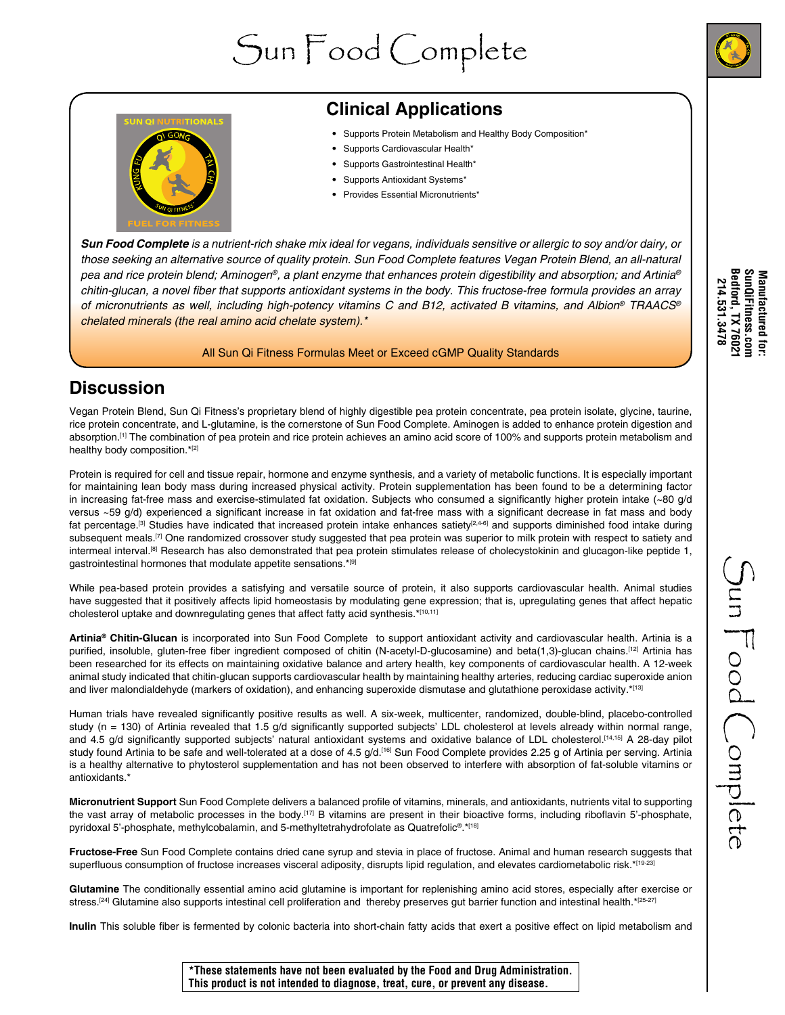# Sun Food Complete





## **Clinical Applications**

- Supports Protein Metabolism and Healthy Body Composition\*
- Supports Cardiovascular Health\*
- Supports Gastrointestinal Health\*
- Supports Antioxidant Systems\*
- Provides Essential Micronutrients\*

*Sun Food Complete is a nutrient-rich shake mix ideal for vegans, individuals sensitive or allergic to soy and/or dairy, or those seeking an alternative source of quality protein. Sun Food Complete features Vegan Protein Blend, an all-natural pea and rice protein blend; Aminogen®, a plant enzyme that enhances protein digestibility and absorption; and Artinia®* chitin-glucan, a novel fiber that supports antioxidant systems in the body. This fructose-free formula provides an array *of micronutrients as well, including high-potency vitamins C and B12, activated B vitamins, and Albion®* TRAACS*® chelated minerals (the real amino acid chelate system).\**

#### All Sun Qi Fitness Formulas Meet or Exceed cGMP Quality Standards

#### **Discussion**

Vegan Protein Blend, Sun Qi Fitness's proprietary blend of highly digestible pea protein concentrate, pea protein isolate, glycine, taurine, rice protein concentrate, and L-glutamine, is the cornerstone of Sun Food Complete. Aminogen is added to enhance protein digestion and absorption.[1] The combination of pea protein and rice protein achieves an amino acid score of 100% and supports protein metabolism and healthy body composition.\*[2]

Protein is required for cell and tissue repair, hormone and enzyme synthesis, and a variety of metabolic functions. It is especially important for maintaining lean body mass during increased physical activity. Protein supplementation has been found to be a determining factor in increasing fat-free mass and exercise-stimulated fat oxidation. Subjects who consumed a significantly higher protein intake (~80 g/d versus ~59 g/d) experienced a significant increase in fat oxidation and fat-free mass with a significant decrease in fat mass and body fat percentage.<sup>[3]</sup> Studies have indicated that increased protein intake enhances satiety<sup>[2,4-6]</sup> and supports diminished food intake during subsequent meals.<sup>[7]</sup> One randomized crossover study suggested that pea protein was superior to milk protein with respect to satiety and intermeal interval.<sup>[8]</sup> Research has also demonstrated that pea protein stimulates release of cholecystokinin and glucagon-like peptide 1, gastrointestinal hormones that modulate appetite sensations.\*[9]

While pea-based protein provides a satisfying and versatile source of protein, it also supports cardiovascular health. Animal studies have suggested that it positively affects lipid homeostasis by modulating gene expression; that is, upregulating genes that affect hepatic cholesterol uptake and downregulating genes that affect fatty acid synthesis.\*[10,11]

**Artinia® Chitin-Glucan** is incorporated into Sun Food Complete to support antioxidant activity and cardiovascular health. Artinia is a purified, insoluble, gluten-free fiber ingredient composed of chitin (N-acetyl-D-glucosamine) and beta(1,3)-glucan chains.<sup>[12]</sup> Artinia has been researched for its effects on maintaining oxidative balance and artery health, key components of cardiovascular health. A 12-week animal study indicated that chitin-glucan supports cardiovascular health by maintaining healthy arteries, reducing cardiac superoxide anion and liver malondialdehyde (markers of oxidation), and enhancing superoxide dismutase and glutathione peroxidase activity.\*[13]

Human trials have revealed significantly positive results as well. A six-week, multicenter, randomized, double-blind, placebo-controlled study (n = 130) of Artinia revealed that 1.5 g/d significantly supported subjects' LDL cholesterol at levels already within normal range, and 4.5 g/d significantly supported subjects' natural antioxidant systems and oxidative balance of LDL cholesterol.[14,15] A 28-day pilot study found Artinia to be safe and well-tolerated at a dose of 4.5 g/d.<sup>[16]</sup> Sun Food Complete provides 2.25 g of Artinia per serving. Artinia is a healthy alternative to phytosterol supplementation and has not been observed to interfere with absorption of fat-soluble vitamins or antioxidants.\*

**Micronutrient Support** Sun Food Complete delivers a balanced profile of vitamins, minerals, and antioxidants, nutrients vital to supporting the vast array of metabolic processes in the body.<sup>[17]</sup> B vitamins are present in their bioactive forms, including riboflavin 5'-phosphate, pyridoxal 5'-phosphate, methylcobalamin, and 5-methyltetrahydrofolate as Quatrefolic<sup>®</sup>.\*<sup>[18]</sup>

**Fructose-Free** Sun Food Complete contains dried cane syrup and stevia in place of fructose. Animal and human research suggests that superfluous consumption of fructose increases visceral adiposity, disrupts lipid regulation, and elevates cardiometabolic risk.\*[19-23]

**Glutamine** The conditionally essential amino acid glutamine is important for replenishing amino acid stores, especially after exercise or stress.<sup>[24]</sup> Glutamine also supports intestinal cell proliferation and thereby preserves gut barrier function and intestinal health.\*<sup>[25-27]</sup>

**Inulin** This soluble fiber is fermented by colonic bacteria into short-chain fatty acids that exert a positive effect on lipid metabolism and

Sun Food Complete

 $\sum$ un  $\overline{\Gamma}$ ood  $\bigcup$ omplete

**\*These statements have not been evaluated by the Food and Drug Administration. This product is not intended to diagnose, treat, cure, or prevent any disease.**